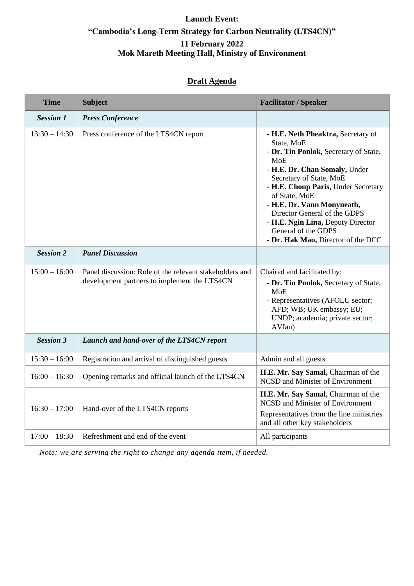## **Launch Event: "Cambodia's Long-Term Strategy for Carbon Neutrality (LTS4CN)" 11 February 2022 Mok Mareth Meeting Hall, Ministry of Environment**

## **Draft Agenda**

| <b>Time</b>      | <b>Subject</b>                                                                                          | <b>Facilitator / Speaker</b>                                                                                                                                                                                                                                                                                                                                                                |
|------------------|---------------------------------------------------------------------------------------------------------|---------------------------------------------------------------------------------------------------------------------------------------------------------------------------------------------------------------------------------------------------------------------------------------------------------------------------------------------------------------------------------------------|
| <b>Session 1</b> | <b>Press Conference</b>                                                                                 |                                                                                                                                                                                                                                                                                                                                                                                             |
| $13:30 - 14:30$  | Press conference of the LTS4CN report                                                                   | - H.E. Neth Pheaktra, Secretary of<br>State, MoE<br>- Dr. Tin Ponlok, Secretary of State,<br><b>MoE</b><br>- H.E. Dr. Chan Somaly, Under<br>Secretary of State, MoE<br>- H.E. Choup Paris, Under Secretary<br>of State, MoE<br>- H.E. Dr. Vann Monyneath,<br>Director General of the GDPS<br>- H.E. Ngin Lina, Deputy Director<br>General of the GDPS<br>- Dr. Hak Mao, Director of the DCC |
| <b>Session 2</b> | <b>Panel Discussion</b>                                                                                 |                                                                                                                                                                                                                                                                                                                                                                                             |
| $15:00 - 16:00$  | Panel discussion: Role of the relevant stakeholders and<br>development partners to implement the LTS4CN | Chaired and facilitated by:<br>- Dr. Tin Ponlok, Secretary of State,<br><b>MoE</b><br>- Representatives (AFOLU sector;<br>AFD; WB; UK embassy; EU;<br>UNDP; academia; private sector;<br>AVIan)                                                                                                                                                                                             |
| <b>Session 3</b> | Launch and hand-over of the LTS4CN report                                                               |                                                                                                                                                                                                                                                                                                                                                                                             |
| $15:30 - 16:00$  | Registration and arrival of distinguished guests                                                        | Admin and all guests                                                                                                                                                                                                                                                                                                                                                                        |
| $16:00 - 16:30$  | Opening remarks and official launch of the LTS4CN                                                       | H.E. Mr. Say Samal, Chairman of the<br>NCSD and Minister of Environment                                                                                                                                                                                                                                                                                                                     |
| $16:30 - 17:00$  | Hand-over of the LTS4CN reports                                                                         | H.E. Mr. Say Samal, Chairman of the<br><b>NCSD</b> and Minister of Environment<br>Representatives from the line ministries<br>and all other key stakeholders                                                                                                                                                                                                                                |
| $17:00 - 18:30$  | Refreshment and end of the event                                                                        | All participants                                                                                                                                                                                                                                                                                                                                                                            |

*Note: we are serving the right to change any agenda item, if needed.*